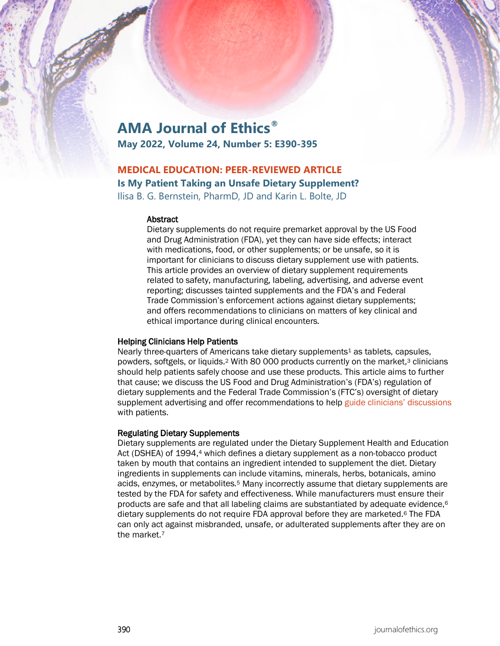# **AMA Journal of Ethics®**

**May 2022, Volume 24, Number 5: E390-395**

# **MEDICAL EDUCATION: PEER-REVIEWED ARTICLE Is My Patient Taking an Unsafe Dietary Supplement?**

Ilisa B. G. Bernstein, PharmD, JD and Karin L. Bolte, JD

#### **Abstract**

Dietary supplements do not require premarket approval by the US Food and Drug Administration (FDA), yet they can have side effects; interact with medications, food, or other supplements; or be unsafe, so it is important for clinicians to discuss dietary supplement use with patients. This article provides an overview of dietary supplement requirements related to safety, manufacturing, labeling, advertising, and adverse event reporting; discusses tainted supplements and the FDA's and Federal Trade Commission's enforcement actions against dietary supplements; and offers recommendations to clinicians on matters of key clinical and ethical importance during clinical encounters.

#### Helping Clinicians Help Patients

Nearly three-quarters of Americans take dietary supplements<sup>1</sup> as tablets, capsules, powders, softgels, or liquids.<sup>2</sup> With 80 000 products currently on the market,<sup>3</sup> clinicians should help patients safely choose and use these products. This article aims to further that cause; we discuss the US Food and Drug Administration's (FDA's) regulation of dietary supplements and the Federal Trade Commission's (FTC's) oversight of dietary supplement advertising and offer recommendations to help [guide clinicians' discussions](https://journalofethics.ama-assn.org/article/prescribing-label-what-should-physician-disclose/2016-06) with patients.

# Regulating Dietary Supplements

Dietary supplements are regulated under the Dietary Supplement Health and Education Act (DSHEA) of 1994,4 which defines a dietary supplement as a non-tobacco product taken by mouth that contains an ingredient intended to supplement the diet. Dietary ingredients in supplements can include vitamins, minerals, herbs, botanicals, amino acids, enzymes, or metabolites.5 Many incorrectly assume that dietary supplements are tested by the FDA for safety and effectiveness. While manufacturers must ensure their products are safe and that all labeling claims are substantiated by adequate evidence,6 dietary supplements do not require FDA approval before they are marketed.6 The FDA can only act against misbranded, unsafe, or adulterated supplements after they are on the market.7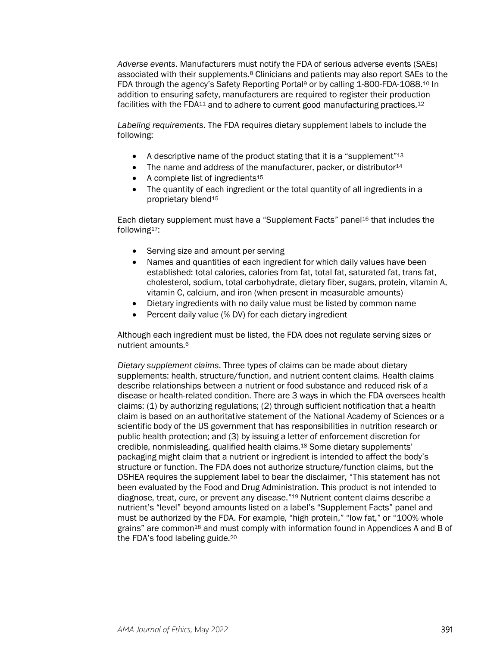*Adverse events*. Manufacturers must notify the FDA of serious adverse events (SAEs) associated with their supplements.8 Clinicians and patients may also report SAEs to the FDA through the agency's Safety Reporting Portal9 or by calling 1-800-FDA-1088.10 In addition to ensuring safety, manufacturers are required to register their production facilities with the FDA<sup>11</sup> and to adhere to current good manufacturing practices.<sup>12</sup>

*Labeling requirements*. The FDA requires dietary supplement labels to include the following:

- A descriptive name of the product stating that it is a "supplement"<sup>13</sup>
- The name and address of the manufacturer, packer, or distributor $14$
- A complete list of ingredients<sup>15</sup>
- The quantity of each ingredient or the total quantity of all ingredients in a proprietary blend15

Each dietary supplement must have a "Supplement Facts" panel16 that includes the following17:

- Serving size and amount per serving
- Names and quantities of each ingredient for which daily values have been established: total calories, calories from fat, total fat, saturated fat, trans fat, cholesterol, sodium, total carbohydrate, dietary fiber, sugars, protein, vitamin A, vitamin C, calcium, and iron (when present in measurable amounts)
- Dietary ingredients with no daily value must be listed by common name
- Percent daily value (% DV) for each dietary ingredient

Although each ingredient must be listed, the FDA does not regulate serving sizes or nutrient amounts.6

*Dietary supplement claims*. Three types of claims can be made about dietary supplements: health, structure/function, and nutrient content claims. Health claims describe relationships between a nutrient or food substance and reduced risk of a disease or health-related condition. There are 3 ways in which the FDA oversees health claims: (1) by authorizing regulations; (2) through sufficient notification that a health claim is based on an authoritative statement of the National Academy of Sciences or a scientific body of the US government that has responsibilities in nutrition research or public health protection; and (3) by issuing a letter of enforcement discretion for credible, nonmisleading, qualified health claims.18 Some dietary supplements' packaging might claim that a nutrient or ingredient is intended to affect the body's structure or function. The FDA does not authorize structure/function claims, but the DSHEA requires the supplement label to bear the disclaimer, "This statement has not been evaluated by the Food and Drug Administration. This product is not intended to diagnose, treat, cure, or prevent any disease."19 Nutrient content claims describe a nutrient's "level" beyond amounts listed on a label's "Supplement Facts" panel and must be authorized by the FDA. For example, "high protein," "low fat," or "100% whole grains" are common<sup>18</sup> and must comply with information found in Appendices A and B of the FDA's food labeling guide.20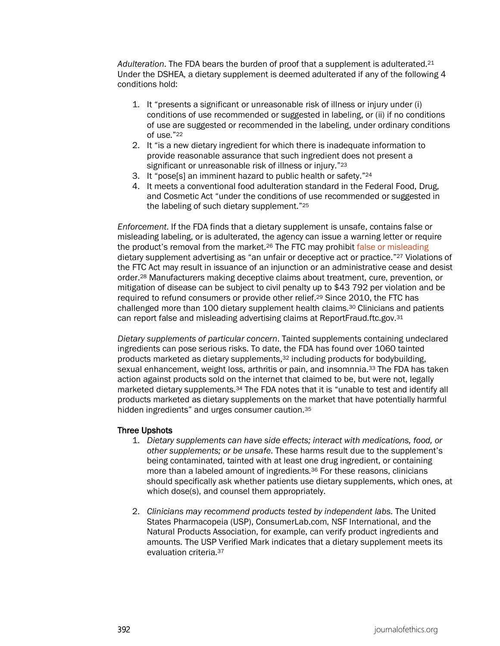*Adulteration*. The FDA bears the burden of proof that a supplement is adulterated.21 Under the DSHEA, a dietary supplement is deemed adulterated if any of the following 4 conditions hold:

- 1. It "presents a significant or unreasonable risk of illness or injury under (i) conditions of use recommended or suggested in labeling, or (ii) if no conditions of use are suggested or recommended in the labeling, under ordinary conditions of use."22
- 2. It "is a new dietary ingredient for which there is inadequate information to provide reasonable assurance that such ingredient does not present a significant or unreasonable risk of illness or injury."<sup>23</sup>
- 3. It "pose[s] an imminent hazard to public health or safety."24
- 4. It meets a conventional food adulteration standard in the Federal Food, Drug, and Cosmetic Act "under the conditions of use recommended or suggested in the labeling of such dietary supplement."25

*Enforcement*. If the FDA finds that a dietary supplement is unsafe, contains false or misleading labeling, or is adulterated, the agency can issue a warning letter or require the product's removal from the market.26 The FTC may prohibit [false or misleading](https://journalofethics.ama-assn.org/article/ads-and-labels-early-20th-century-health-fraud-promotions/2018-11) dietary supplement advertising as "an unfair or deceptive act or practice."27 Violations of the FTC Act may result in issuance of an injunction or an administrative cease and desist order.28 Manufacturers making deceptive claims about treatment, cure, prevention, or mitigation of disease can be subject to civil penalty up to \$43 792 per violation and be required to refund consumers or provide other relief.<sup>29</sup> Since 2010, the FTC has challenged more than  $100$  dietary supplement health claims.<sup>30</sup> Clinicians and patients can report false and misleading advertising claims at ReportFraud.ftc.gov.31

*Dietary supplements of particular concern*. Tainted supplements containing undeclared ingredients can pose serious risks. To date, the FDA has found over 1060 tainted products marketed as dietary supplements,<sup>32</sup> including products for bodybuilding, sexual enhancement, weight loss, arthritis or pain, and insomnnia.<sup>33</sup> The FDA has taken action against products sold on the internet that claimed to be, but were not, legally marketed dietary supplements.<sup>34</sup> The FDA notes that it is "unable to test and identify all products marketed as dietary supplements on the market that have potentially harmful hidden ingredients" and urges consumer caution.<sup>35</sup>

#### Three Upshots

- 1. *Dietary supplements can have side effects; interact with medications, food, or other supplements; or be unsafe*. These harms result due to the supplement's being contaminated, tainted with at least one drug ingredient, or containing more than a labeled amount of ingredients.36 For these reasons, clinicians should specifically ask whether patients use dietary supplements, which ones, at which dose(s), and counsel them appropriately.
- 2. *Clinicians may recommend products tested by independent labs*. The United States Pharmacopeia (USP), ConsumerLab.com, NSF International, and the Natural Products Association, for example, can verify product ingredients and amounts. The USP Verified Mark indicates that a dietary supplement meets its evaluation criteria.37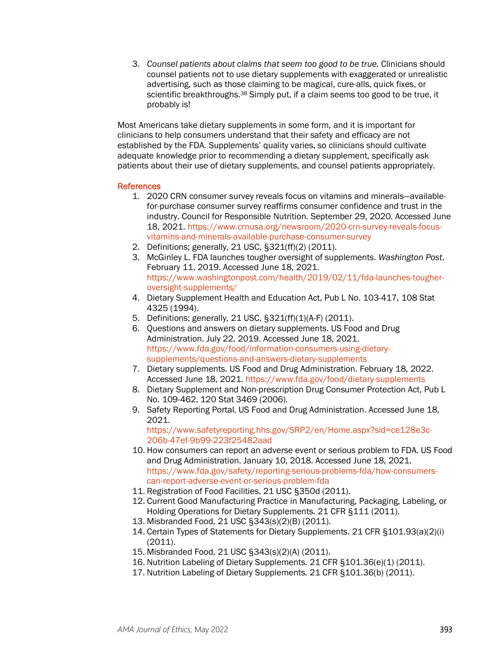3. *Counsel patients about claims that seem too good to be true*. Clinicians should counsel patients not to use dietary supplements with exaggerated or unrealistic advertising, such as those claiming to be magical, cure-alls, quick fixes, or scientific breakthroughs.<sup>38</sup> Simply put, if a claim seems too good to be true, it probably is!

Most Americans take dietary supplements in some form, and it is important for clinicians to help consumers understand that their safety and efficacy are not established by the FDA. Supplements' quality varies, so clinicians should cultivate adequate knowledge prior to recommending a dietary supplement, specifically ask patients about their use of dietary supplements, and counsel patients appropriately.

#### References

- 1. 2020 CRN consumer survey reveals focus on vitamins and minerals—availablefor-purchase consumer survey reaffirms consumer confidence and trust in the industry. Council for Responsible Nutrition. September 29, 2020. Accessed June 18, 2021[. https://www.crnusa.org/newsroom/2020-crn-survey-reveals-focus](https://www.crnusa.org/newsroom/2020-crn-survey-reveals-focus-vitamins-and-minerals-available-purchase-consumer-survey)[vitamins-and-minerals-available-purchase-consumer-survey](https://www.crnusa.org/newsroom/2020-crn-survey-reveals-focus-vitamins-and-minerals-available-purchase-consumer-survey)
- 2. Definitions; generally, 21 USC, §321(ff)(2) (2011).
- 3. McGinley L. FDA launches tougher oversight of supplements. *Washington Post*. February 11, 2019. Accessed June 18, 2021. [https://www.washingtonpost.com/health/2019/02/11/fda-launches-tougher](https://www.washingtonpost.com/health/2019/02/11/fda-launches-tougher-oversight-supplements/)[oversight-supplements/](https://www.washingtonpost.com/health/2019/02/11/fda-launches-tougher-oversight-supplements/)
- 4. Dietary Supplement Health and Education Act, Pub L No. 103-417, 108 Stat 4325 (1994).
- 5. Definitions; generally, 21 USC, §321(ff)(1)(A-F) (2011).
- 6. Questions and answers on dietary supplements. US Food and Drug Administration. July 22, 2019. Accessed June 18, 2021. [https://www.fda.gov/food/information-consumers-using-dietary](https://www.fda.gov/food/information-consumers-using-dietary-supplements/questions-and-answers-dietary-supplements)[supplements/questions-and-answers-dietary-supplements](https://www.fda.gov/food/information-consumers-using-dietary-supplements/questions-and-answers-dietary-supplements)
- 7. Dietary supplements. US Food and Drug Administration. February 18, 2022. Accessed June 18, 2021.<https://www.fda.gov/food/dietary-supplements>
- 8. Dietary Supplement and Non-prescription Drug Consumer Protection Act, Pub L No. 109-462, 120 Stat 3469 (2006).
- 9. Safety Reporting Portal. US Food and Drug Administration. Accessed June 18, 2021.

[https://www.safetyreporting.hhs.gov/SRP2/en/Home.aspx?sid=ce128e3c-](https://www.safetyreporting.hhs.gov/SRP2/en/Home.aspx?sid=ce128e3c-206b-47ef-9b99-223f25482aad)[206b-47ef-9b99-223f25482aad](https://www.safetyreporting.hhs.gov/SRP2/en/Home.aspx?sid=ce128e3c-206b-47ef-9b99-223f25482aad)

- 10. How consumers can report an adverse event or serious problem to FDA. US Food and Drug Administration. January 10, 2018. Accessed June 18, 2021. [https://www.fda.gov/safety/reporting-serious-problems-fda/how-consumers](https://www.fda.gov/safety/reporting-serious-problems-fda/how-consumers-can-report-adverse-event-or-serious-problem-fda)[can-report-adverse-event-or-serious-problem-fda](https://www.fda.gov/safety/reporting-serious-problems-fda/how-consumers-can-report-adverse-event-or-serious-problem-fda)
- 11. Registration of Food Facilities, 21 USC §350d (2011).
- 12. Current Good Manufacturing Practice in Manufacturing, Packaging, Labeling, or Holding Operations for Dietary Supplements. 21 CFR §111 (2011).
- 13. Misbranded Food, 21 USC §343(s)(2)(B) (2011).
- 14. Certain Types of Statements for Dietary Supplements. 21 CFR §101.93(a)(2)(i) (2011).
- 15. Misbranded Food, 21 USC §343(s)(2)(A) (2011).
- 16. Nutrition Labeling of Dietary Supplements. 21 CFR §101.36(e)(1) (2011).
- 17. Nutrition Labeling of Dietary Supplements. 21 CFR §101.36(b) (2011).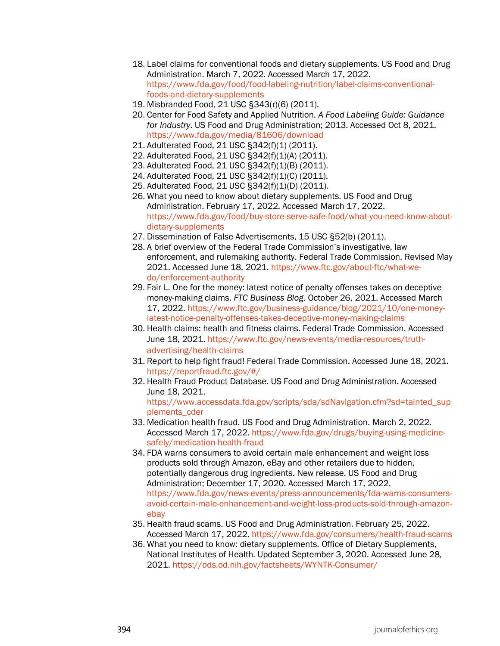- 18. Label claims for conventional foods and dietary supplements. US Food and Drug Administration. March 7, 2022. Accessed March 17, 2022. [https://www.fda.gov/food/food-labeling-nutrition/label-claims-conventional](https://www.fda.gov/food/food-labeling-nutrition/label-claims-conventional-foods-and-dietary-supplements)[foods-and-dietary-supplements](https://www.fda.gov/food/food-labeling-nutrition/label-claims-conventional-foods-and-dietary-supplements)
- 19. Misbranded Food, 21 USC §343(r)(6) (2011).
- 20. Center for Food Safety and Applied Nutrition. *A Food Labeling Guide: Guidance for Industry*. US Food and Drug Administration; 2013. Accessed Oct 8, 2021. <https://www.fda.gov/media/81606/download>
- 21. Adulterated Food, 21 USC §342(f)(1) (2011).
- 22. Adulterated Food, 21 USC §342(f)(1)(A) (2011).
- 23. Adulterated Food, 21 USC §342(f)(1)(B) (2011).
- 24. Adulterated Food, 21 USC §342(f)(1)(C) (2011).
- 25. Adulterated Food, 21 USC §342(f)(1)(D) (2011).
- 26. What you need to know about dietary supplements. US Food and Drug Administration. February 17, 2022. Accessed March 17, 2022. [https://www.fda.gov/food/buy-store-serve-safe-food/what-you-need-know-about](https://www.fda.gov/food/buy-store-serve-safe-food/what-you-need-know-about-dietary-supplements)[dietary-supplements](https://www.fda.gov/food/buy-store-serve-safe-food/what-you-need-know-about-dietary-supplements)
- 27. Dissemination of False Advertisements, 15 USC §52(b) (2011).
- 28. A brief overview of the Federal Trade Commission's investigative, law enforcement, and rulemaking authority. Federal Trade Commission. Revised May 2021. Accessed June 18, 2021. [https://www.ftc.gov/about-ftc/what-we](https://www.ftc.gov/about-ftc/what-we-do/enforcement-authority)[do/enforcement-authority](https://www.ftc.gov/about-ftc/what-we-do/enforcement-authority)
- 29. Fair L. One for the money: latest notice of penalty offenses takes on deceptive money-making claims. *FTC Business Blog*. October 26, 2021. Accessed March 17, 2022[. https://www.ftc.gov/business-guidance/blog/2021/10/one-money](https://www.ftc.gov/business-guidance/blog/2021/10/one-money-latest-notice-penalty-offenses-takes-deceptive-money-making-claims)[latest-notice-penalty-offenses-takes-deceptive-money-making-claims](https://www.ftc.gov/business-guidance/blog/2021/10/one-money-latest-notice-penalty-offenses-takes-deceptive-money-making-claims)
- 30. Health claims: health and fitness claims. Federal Trade Commission. Accessed June 18, 2021. [https://www.ftc.gov/news-events/media-resources/truth](https://www.ftc.gov/news-events/media-resources/truth-advertising/health-claims)[advertising/health-claims](https://www.ftc.gov/news-events/media-resources/truth-advertising/health-claims)
- 31. Report to help fight fraud! Federal Trade Commission. Accessed June 18, 2021. <https://reportfraud.ftc.gov/#/>
- 32. Health Fraud Product Database. US Food and Drug Administration. Accessed June 18, 2021. [https://www.accessdata.fda.gov/scripts/sda/sdNavigation.cfm?sd=tainted\\_sup](https://www.accessdata.fda.gov/scripts/sda/sdNavigation.cfm?sd=tainted_supplements_cder) [plements\\_cder](https://www.accessdata.fda.gov/scripts/sda/sdNavigation.cfm?sd=tainted_supplements_cder)
- 33. Medication health fraud. US Food and Drug Administration. March 2, 2022. Accessed March 17, 2022. [https://www.fda.gov/drugs/buying-using-medicine](https://www.fda.gov/drugs/buying-using-medicine-safely/medication-health-fraud)[safely/medication-health-fraud](https://www.fda.gov/drugs/buying-using-medicine-safely/medication-health-fraud)
- 34. FDA warns consumers to avoid certain male enhancement and weight loss products sold through Amazon, eBay and other retailers due to hidden, potentially dangerous drug ingredients. New release. US Food and Drug Administration; December 17, 2020. Accessed March 17, 2022. [https://www.fda.gov/news-events/press-announcements/fda-warns-consumers](https://www.fda.gov/news-events/press-announcements/fda-warns-consumers-avoid-certain-male-enhancement-and-weight-loss-products-sold-through-amazon-ebay)[avoid-certain-male-enhancement-and-weight-loss-products-sold-through-amazon](https://www.fda.gov/news-events/press-announcements/fda-warns-consumers-avoid-certain-male-enhancement-and-weight-loss-products-sold-through-amazon-ebay)[ebay](https://www.fda.gov/news-events/press-announcements/fda-warns-consumers-avoid-certain-male-enhancement-and-weight-loss-products-sold-through-amazon-ebay)
- 35. Health fraud scams. US Food and Drug Administration. February 25, 2022. Accessed March 17, 2022.<https://www.fda.gov/consumers/health-fraud-scams>
- 36. What you need to know: dietary supplements. Office of Dietary Supplements, National Institutes of Health. Updated September 3, 2020. Accessed June 28, 2021.<https://ods.od.nih.gov/factsheets/WYNTK-Consumer/>